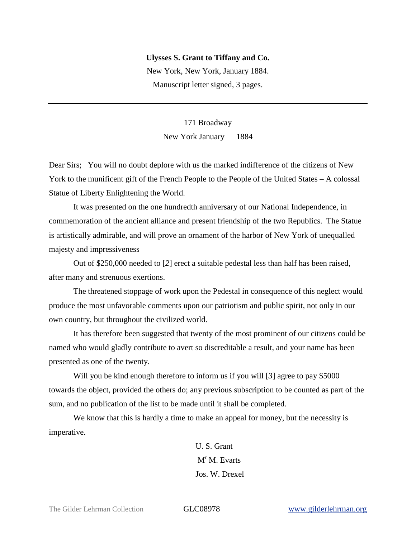## **Ulysses S. Grant to Tiffany and Co.**

New York, New York, January 1884. Manuscript letter signed, 3 pages.

> 171 Broadway New York January 1884

Dear Sirs; You will no doubt deplore with us the marked indifference of the citizens of New York to the munificent gift of the French People to the People of the United States – A colossal Statue of Liberty Enlightening the World.

It was presented on the one hundredth anniversary of our National Independence, in commemoration of the ancient alliance and present friendship of the two Republics. The Statue is artistically admirable, and will prove an ornament of the harbor of New York of unequalled majesty and impressiveness

Out of \$250,000 needed to [*2*] erect a suitable pedestal less than half has been raised, after many and strenuous exertions.

The threatened stoppage of work upon the Pedestal in consequence of this neglect would produce the most unfavorable comments upon our patriotism and public spirit, not only in our own country, but throughout the civilized world.

It has therefore been suggested that twenty of the most prominent of our citizens could be named who would gladly contribute to avert so discreditable a result, and your name has been presented as one of the twenty.

Will you be kind enough therefore to inform us if you will [*3*] agree to pay \$5000 towards the object, provided the others do; any previous subscription to be counted as part of the sum, and no publication of the list to be made until it shall be completed.

We know that this is hardly a time to make an appeal for money, but the necessity is imperative.

> U. S. Grant  $M<sup>r</sup> M$ . Evarts Jos. W. Drexel